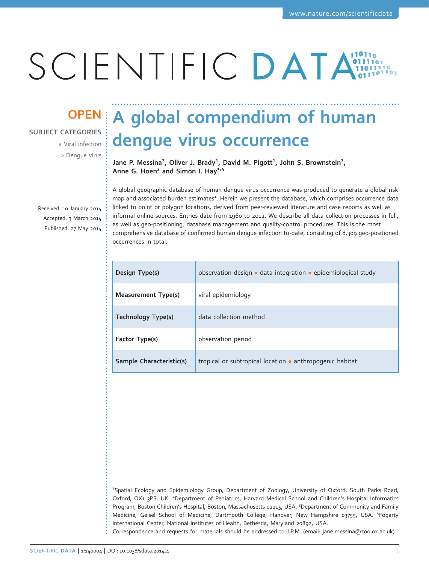# SCIENTIFIC DATA

### SUBJECT CATEGORIES

» Viral infection » Dengue virus

Received: 10 January 2014 Accepted: 3 March 2014 Published: 27 May 2014

## OPEN A global compendium of human dengue virus occurrence

Jane P. Messina<sup>1</sup>, Oliver J. Brady<sup>1</sup>, David M. Pigott<sup>1</sup>, John S. Brownstein<sup>2</sup>, Anne G. Hoen<sup>3</sup> and Simon I. Hay<sup> $1/4$ </sup>

A global geographic database of human dengue virus occurrence was produced to generate a global risk map and associated burden estimates<sup>1</sup>. Herein we present the database, which comprises occurrence data linked to point or polygon locations, derived from peer-reviewed literature and case reports as well as informal online sources. Entries date from 1960 to 2012. We describe all data collection processes in full, as well as geo-positioning, database management and quality-control procedures. This is the most comprehensive database of confirmed human dengue infection to-date, consisting of 8,309 geo-positioned occurrences in total.

| Design Type(s)             | observation design · data integration · epidemiological study |  |  |
|----------------------------|---------------------------------------------------------------|--|--|
| <b>Measurement Type(s)</b> | viral epidemiology                                            |  |  |
| <b>Technology Type(s)</b>  | data collection method                                        |  |  |
| Factor Type(s)             | observation period                                            |  |  |
| Sample Characteristic(s)   | tropical or subtropical location • anthropogenic habitat      |  |  |

1 Spatial Ecology and Epidemiology Group, Department of Zoology, University of Oxford, South Parks Road, Oxford, OX1 3PS, UK. <sup>2</sup>Department of Pediatrics, Harvard Medical School and Children's Hospital Informatics Program, Boston Children's Hospital, Boston, Massachusetts 02115, USA. <sup>3</sup>Department of Community and Family Medicine, Geisel School of Medicine, Dartmouth College, Hanover, New Hampshire 03755, USA. <sup>4</sup>Fogarty International Center, National Institutes of Health, Bethesda, Maryland 20892, USA.

Correspondence and requests for materials should be addressed to J.P.M. (email: jane.messina@zoo.ox.ac.uk)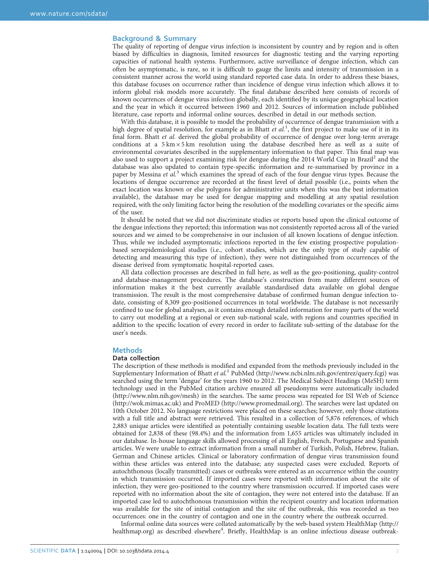#### Background & Summary

The quality of reporting of dengue virus infection is inconsistent by country and by region and is often biased by difficulties in diagnosis, limited resources for diagnostic testing and the varying reporting capacities of national health systems. Furthermore, active surveillance of dengue infection, which can often be asymptomatic, is rare, so it is difficult to gauge the limits and intensity of transmission in a consistent manner across the world using standard reported case data. In order to address these biases, this database focuses on occurrence rather than incidence of dengue virus infection which allows it to inform global risk models more accurately. The final database described here consists of records of known occurrences of dengue virus infection globally, each identified by its unique geographical location and the year in which it occurred between 1960 and 2012. Sources of information include published literature, case reports and informal online sources, described in detail in our methods section.

With this database, it is possible to model the probability of occurrence of dengue transmission with a high degree of spatial resolution, for example as in Bhatt et al.<sup>1</sup>, the first project to make use of it in its final form. Bhatt et al. derived the global probability of occurrence of dengue over long-term average conditions at a 5 km × 5 km resolution using the database described here as well as a suite of environmental covariates described in the supplementary information to that paper. This final map was also used to support a project examining risk for dengue during the 2014 World Cup in Brazil<sup>2</sup> and the database was also updated to contain type-specific information and re-summarised by province in a paper by Messina et al.<sup>3</sup> which examines the spread of each of the four dengue virus types. Because the locations of dengue occurrence are recorded at the finest level of detail possible (i.e., points when the exact location was known or else polygons for administrative units when this was the best information available), the database may be used for dengue mapping and modelling at any spatial resolution required, with the only limiting factor being the resolution of the modelling covariates or the specific aims of the user.

It should be noted that we did not discriminate studies or reports based upon the clinical outcome of the dengue infections they reported; this information was not consistently reported across all of the varied sources and we aimed to be comprehensive in our inclusion of all known locations of dengue infection. Thus, while we included asymptomatic infections reported in the few existing prospective populationbased seroepidemiological studies (i.e., cohort studies, which are the only type of study capable of detecting and measuring this type of infection), they were not distinguished from occurrences of the disease derived from symptomatic hospital-reported cases.

All data collection processes are described in full here, as well as the geo-positioning, quality-control and database-management procedures. The database's construction from many different sources of information makes it the best currently available standardised data available on global dengue transmission. The result is the most comprehensive database of confirmed human dengue infection todate, consisting of 8,309 geo-positioned occurrences in total worldwide. The database is not necessarily confined to use for global analyses, as it contains enough detailed information for many parts of the world to carry out modelling at a regional or even sub-national scale, with regions and countries specified in addition to the specific location of every record in order to facilitate sub-setting of the database for the user's needs.

#### **Methods**

#### Data collection

The description of these methods is modified and expanded from the methods previously included in the Supplementary Information of Bhatt *et al.*<sup>1</sup> PubMed (http://www.ncbi.nlm.nih.gov/entrez/query.fcgi) was searched using the term 'dengue' for the years 1960 to 2012. The Medical Subject Headings (MeSH) term technology used in the PubMed citation archive ensured all pseudonyms were automatically included (http://www.nlm.nih.gov/mesh) in the searches. The same process was repeated for ISI Web of Science (http://wok.mimas.ac.uk) and ProMED (http://www.promedmail.org). The searches were last updated on 10th October 2012. No language restrictions were placed on these searches; however, only those citations with a full title and abstract were retrieved. This resulted in a collection of 5,876 references, of which 2,883 unique articles were identified as potentially containing useable location data. The full texts were obtained for 2,838 of these (98.4%) and the information from 1,655 articles was ultimately included in our database. In-house language skills allowed processing of all English, French, Portuguese and Spanish articles. We were unable to extract information from a small number of Turkish, Polish, Hebrew, Italian, German and Chinese articles. Clinical or laboratory confirmation of dengue virus transmission found within these articles was entered into the database; any suspected cases were excluded. Reports of autochthonous (locally transmitted) cases or outbreaks were entered as an occurrence within the country in which transmission occurred. If imported cases were reported with information about the site of infection, they were geo-positioned to the country where transmission occurred. If imported cases were reported with no information about the site of contagion, they were not entered into the database. If an imported case led to autochthonous transmission within the recipient country and location information was available for the site of initial contagion and the site of the outbreak, this was recorded as two occurrences: one in the country of contagion and one in the country where the outbreak occurred.

Informal online data sources were collated automatically by the web-based system HealthMap (http:// healthmap.org) as described elsewhere<sup>4</sup>. Briefly, HealthMap is an online infectious disease outbreak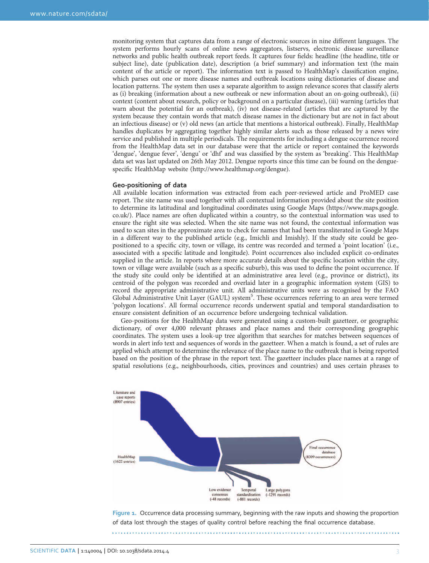monitoring system that captures data from a range of electronic sources in nine different languages. The system performs hourly scans of online news aggregators, listservs, electronic disease surveillance networks and public health outbreak report feeds. It captures four fields: headline (the headline, title or subject line), date (publication date), description (a brief summary) and information text (the main content of the article or report). The information text is passed to HealthMap's classification engine, which parses out one or more disease names and outbreak locations using dictionaries of disease and location patterns. The system then uses a separate algorithm to assign relevance scores that classify alerts as (i) breaking (information about a new outbreak or new information about an on-going outbreak), (ii) context (content about research, policy or background on a particular disease), (iii) warning (articles that warn about the potential for an outbreak), (iv) not disease-related (articles that are captured by the system because they contain words that match disease names in the dictionary but are not in fact about an infectious disease) or (v) old news (an article that mentions a historical outbreak). Finally, HealthMap handles duplicates by aggregating together highly similar alerts such as those released by a news wire service and published in multiple periodicals. The requirements for including a dengue occurrence record from the HealthMap data set in our database were that the article or report contained the keywords 'dengue', 'dengue fever', 'dengu' or 'dhf' and was classified by the system as 'breaking'. This HealthMap data set was last updated on 26th May 2012. Dengue reports since this time can be found on the denguespecific HealthMap website (http://www.healthmap.org/dengue).

#### Geo-positioning of data

All available location information was extracted from each peer-reviewed article and ProMED case report. The site name was used together with all contextual information provided about the site position to determine its latitudinal and longitudinal coordinates using Google Maps (https://www.maps.google. co.uk/). Place names are often duplicated within a country, so the contextual information was used to ensure the right site was selected. When the site name was not found, the contextual information was used to scan sites in the approximate area to check for names that had been transliterated in Google Maps in a different way to the published article (e.g., Imichli and Imishly). If the study site could be geopositioned to a specific city, town or village, its centre was recorded and termed a 'point location' (i.e., associated with a specific latitude and longitude). Point occurrences also included explicit co-ordinates supplied in the article. In reports where more accurate details about the specific location within the city, town or village were available (such as a specific suburb), this was used to define the point occurrence. If the study site could only be identified at an administrative area level (e.g., province or district), its centroid of the polygon was recorded and overlaid later in a geographic information system (GIS) to record the appropriate administrative unit. All administrative units were as recognised by the FAO Global Administrative Unit Layer (GAUL) system<sup>5</sup>. These occurrences referring to an area were termed 'polygon locations'. All formal occurrence records underwent spatial and temporal standardisation to ensure consistent definition of an occurrence before undergoing technical validation.

Geo-positions for the HealthMap data were generated using a custom-built gazetteer, or geographic dictionary, of over 4,000 relevant phrases and place names and their corresponding geographic coordinates. The system uses a look-up tree algorithm that searches for matches between sequences of words in alert info text and sequences of words in the gazetteer. When a match is found, a set of rules are applied which attempt to determine the relevance of the place name to the outbreak that is being reported based on the position of the phrase in the report text. The gazetteer includes place names at a range of spatial resolutions (e.g., neighbourhoods, cities, provinces and countries) and uses certain phrases to



Figure 1. Occurrence data processing summary, beginning with the raw inputs and showing the proportion of data lost through the stages of quality control before reaching the final occurrence database.

SCIENTIFIC DATA | 1:140004 | DOI: 10.1038/sdata.2014.4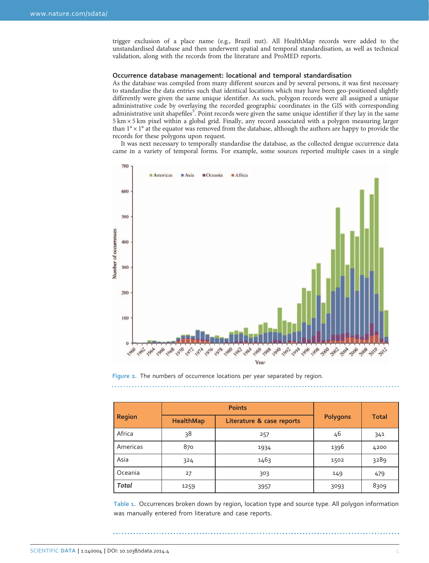trigger exclusion of a place name (e.g., Brazil nut). All HealthMap records were added to the unstandardised database and then underwent spatial and temporal standardisation, as well as technical validation, along with the records from the literature and ProMED reports.

#### Occurrence database management: locational and temporal standardisation

As the database was compiled from many different sources and by several persons, it was first necessary to standardise the data entries such that identical locations which may have been geo-positioned slightly differently were given the same unique identifier. As such, polygon records were all assigned a unique administrative code by overlaying the recorded geographic coordinates in the GIS with corresponding administrative unit shapefiles<sup>5</sup>. Point records were given the same unique identifier if they lay in the same  $5 \text{ km} \times 5 \text{ km}$  pixel within a global grid. Finally, any record associated with a polygon measuring larger than  $1^\circ \times 1^\circ$  at the equator was removed from the database, although the authors are happy to provide the records for these polygons upon request.

It was next necessary to temporally standardise the database, as the collected dengue occurrence data came in a variety of temporal forms. For example, some sources reported multiple cases in a single



#### Figure 2. The numbers of occurrence locations per year separated by region.

| <b>Region</b> |                  | <b>Points</b>             | <b>Polygons</b> |              |
|---------------|------------------|---------------------------|-----------------|--------------|
|               | <b>HealthMap</b> | Literature & case reports |                 | <b>Total</b> |
| Africa        | 38               | 257                       | 46              | 341          |
| Americas      | 870              | 1934                      | 1396            | 4200         |
| Asia          | 324              | 1463                      | 1502            | 3289         |
| Oceania       | 27               | 303                       | 149             | 479          |
| Total         | 1259             | 3957                      | 3093            | 8309         |

Table 1. Occurrences broken down by region, location type and source type. All polygon information was manually entered from literature and case reports.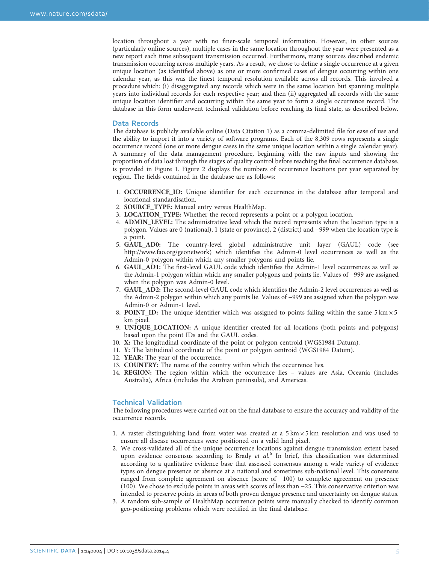location throughout a year with no finer-scale temporal information. However, in other sources (particularly online sources), multiple cases in the same location throughout the year were presented as a new report each time subsequent transmission occurred. Furthermore, many sources described endemic transmission occurring across multiple years. As a result, we chose to define a single occurrence at a given unique location (as identified above) as one or more confirmed cases of dengue occurring within one calendar year, as this was the finest temporal resolution available across all records. This involved a procedure which: (i) disaggregated any records which were in the same location but spanning multiple years into individual records for each respective year; and then (ii) aggregated all records with the same unique location identifier and occurring within the same year to form a single occurrence record. The database in this form underwent technical validation before reaching its final state, as described below.

#### Data Records

The database is publicly available online (Data Citation 1) as a comma-delimited file for ease of use and the ability to import it into a variety of software programs. Each of the 8,309 rows represents a single occurrence record (one or more dengue cases in the same unique location within a single calendar year). A summary of the data management procedure, beginning with the raw inputs and showing the proportion of data lost through the stages of quality control before reaching the final occurrence database, is provided in Figure 1. Figure 2 displays the numbers of occurrence locations per year separated by region. The fields contained in the database are as follows:

- 1. OCCURRENCE\_ID: Unique identifier for each occurrence in the database after temporal and locational standardisation.
- 2. SOURCE\_TYPE: Manual entry versus HealthMap.
- 3. LOCATION\_TYPE: Whether the record represents a point or a polygon location.
- 4. ADMIN\_LEVEL: The administrative level which the record represents when the location type is a polygon. Values are 0 (national), 1 (state or province), 2 (district) and −999 when the location type is a point.
- 5. GAUL\_AD0: The country-level global administrative unit layer (GAUL) code (see http://www.fao.org/geonetwork) which identifies the Admin-0 level occurrences as well as the Admin-0 polygon within which any smaller polygons and points lie.
- 6. GAUL\_AD1: The first-level GAUL code which identifies the Admin-1 level occurrences as well as the Admin-1 polygon within which any smaller polygons and points lie. Values of −999 are assigned when the polygon was Admin-0 level.
- 7. GAUL\_AD2: The second-level GAUL code which identifies the Admin-2 level occurrences as well as the Admin-2 polygon within which any points lie. Values of −999 are assigned when the polygon was Admin-0 or Admin-1 level.
- 8. **POINT\_ID:** The unique identifier which was assigned to points falling within the same  $5 \text{ km} \times 5$ km pixel.
- 9. UNIQUE\_LOCATION: A unique identifier created for all locations (both points and polygons) based upon the point IDs and the GAUL codes.
- 10. X: The longitudinal coordinate of the point or polygon centroid (WGS1984 Datum).
- 11. Y: The latitudinal coordinate of the point or polygon centroid (WGS1984 Datum).
- 12. YEAR: The year of the occurrence.
- 13. COUNTRY: The name of the country within which the occurrence lies.
- 14. REGION: The region within which the occurrence lies values are Asia, Oceania (includes Australia), Africa (includes the Arabian peninsula), and Americas.

#### Technical Validation

The following procedures were carried out on the final database to ensure the accuracy and validity of the occurrence records.

- 1. A raster distinguishing land from water was created at a  $5 \text{ km} \times 5 \text{ km}$  resolution and was used to ensure all disease occurrences were positioned on a valid land pixel.
- 2. We cross-validated all of the unique occurrence locations against dengue transmission extent based upon evidence consensus according to Brady et  $al<sup>6</sup>$ . In brief, this classification was determined according to a qualitative evidence base that assessed consensus among a wide variety of evidence types on dengue presence or absence at a national and sometimes sub-national level. This consensus ranged from complete agreement on absence (score of −100) to complete agreement on presence (100). We chose to exclude points in areas with scores of less than −25. This conservative criterion was intended to preserve points in areas of both proven dengue presence and uncertainty on dengue status.
- 3. A random sub-sample of HealthMap occurrence points were manually checked to identify common geo-positioning problems which were rectified in the final database.